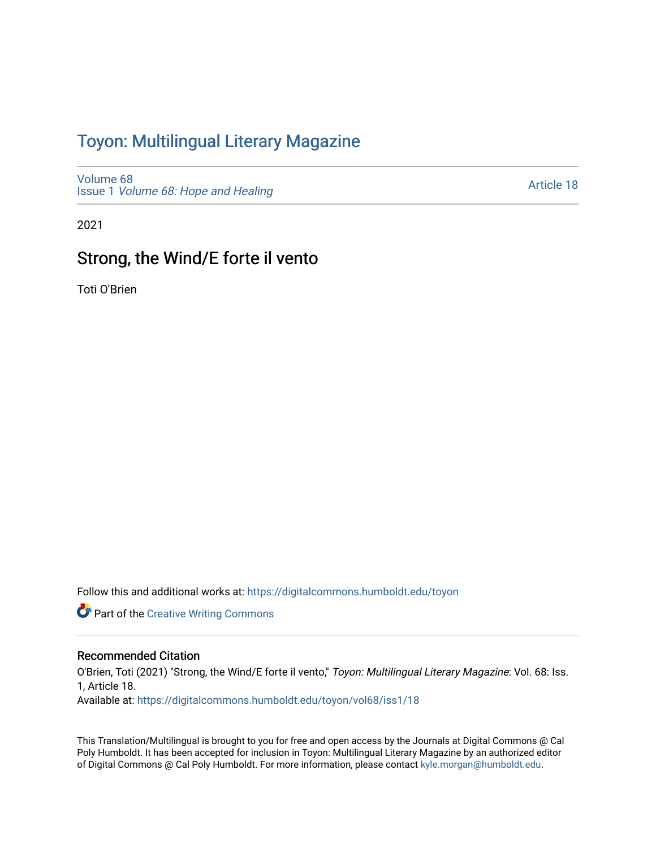## Toyon: Multilingual Literar[y](https://digitalcommons.humboldt.edu/toyon) Magazine

[Volume 68](https://digitalcommons.humboldt.edu/toyon/vol68) Issue 1 [Volume 68: Hope and Healing](https://digitalcommons.humboldt.edu/toyon/vol68/iss1) 

[Article 18](https://digitalcommons.humboldt.edu/toyon/vol68/iss1/18) 

2021

### Strong, the Wind/E forte il vento

Toti O'Brien

Follow this and additional works at: [https://digitalcommons.humboldt.edu/toyon](https://digitalcommons.humboldt.edu/toyon?utm_source=digitalcommons.humboldt.edu%2Ftoyon%2Fvol68%2Fiss1%2F18&utm_medium=PDF&utm_campaign=PDFCoverPages)

**Part of the Creative Writing Commons** 

#### Recommended Citation

O'Brien, Toti (2021) "Strong, the Wind/E forte il vento," Toyon: Multilingual Literary Magazine: Vol. 68: Iss. 1, Article 18.

Available at: [https://digitalcommons.humboldt.edu/toyon/vol68/iss1/18](https://digitalcommons.humboldt.edu/toyon/vol68/iss1/18?utm_source=digitalcommons.humboldt.edu%2Ftoyon%2Fvol68%2Fiss1%2F18&utm_medium=PDF&utm_campaign=PDFCoverPages) 

This Translation/Multilingual is brought to you for free and open access by the Journals at Digital Commons @ Cal Poly Humboldt. It has been accepted for inclusion in Toyon: Multilingual Literary Magazine by an authorized editor of Digital Commons @ Cal Poly Humboldt. For more information, please contact [kyle.morgan@humboldt.edu](mailto:kyle.morgan@humboldt.edu).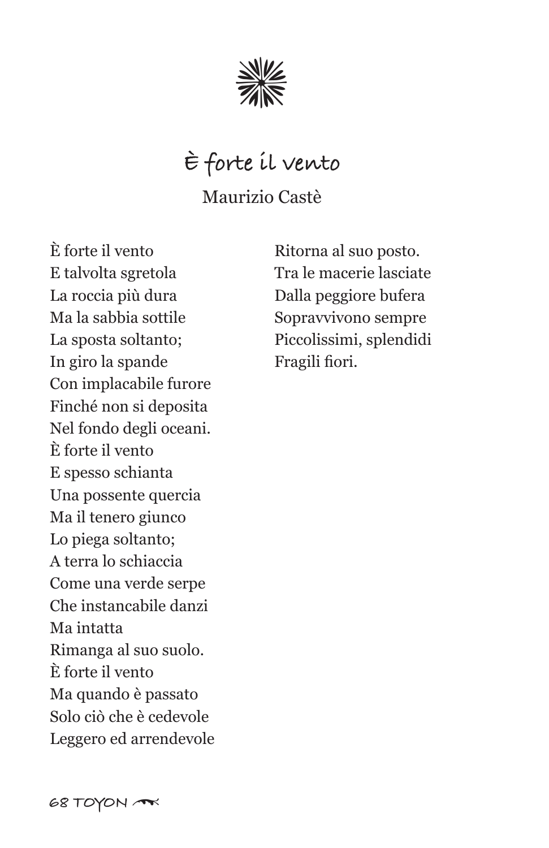

### **È forte il vento**

Maurizio Castè

È forte il vento E talvolta sgretola La roccia più dura Ma la sabbia sottile La sposta soltanto; In giro la spande Con implacabile furore Finché non si deposita Nel fondo degli oceani. È forte il vento E spesso schianta Una possente quercia Ma il tenero giunco Lo piega soltanto; A terra lo schiaccia Come una verde serpe Che instancabile danzi Ma intatta Rimanga al suo suolo. È forte il vento Ma quando è passato Solo ciò che è cedevole Leggero ed arrendevole

Ritorna al suo posto. Tra le macerie lasciate Dalla peggiore bufera Sopravvivono sempre Piccolissimi, splendidi Fragili fiori.